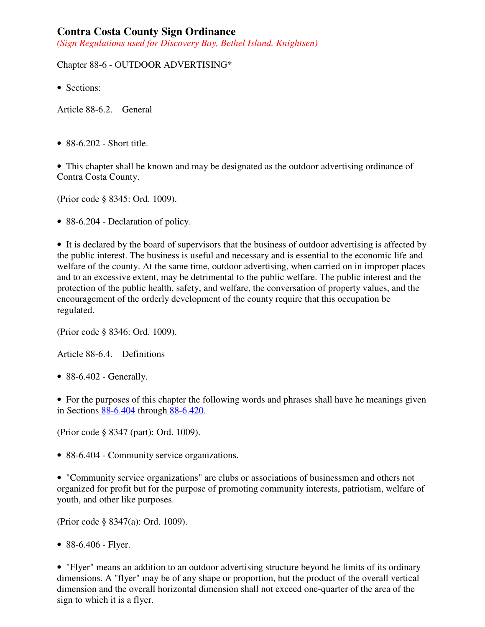# **Contra Costa County Sign Ordinance**

*(Sign Regulations used for Discovery Bay, Bethel Island, Knightsen)* 

## Chapter 88-6 - OUTDOOR ADVERTISING\*

• Sections:

Article 88-6.2. General

• 88-6.202 - Short title.

• This chapter shall be known and may be designated as the outdoor advertising ordinance of Contra Costa County.

(Prior code § 8345: Ord. 1009).

• 88-6.204 - Declaration of policy.

• It is declared by the board of supervisors that the business of outdoor advertising is affected by the public interest. The business is useful and necessary and is essential to the economic life and welfare of the county. At the same time, outdoor advertising, when carried on in improper places and to an excessive extent, may be detrimental to the public welfare. The public interest and the protection of the public health, safety, and welfare, the conversation of property values, and the encouragement of the orderly development of the county require that this occupation be regulated.

(Prior code § 8346: Ord. 1009).

Article 88-6.4. Definitions

• 88-6.402 - Generally.

• For the purposes of this chapter the following words and phrases shall have he meanings given in Sections 88-6.404 through 88-6.420.

(Prior code § 8347 (part): Ord. 1009).

• 88-6.404 - Community service organizations.

• "Community service organizations" are clubs or associations of businessmen and others not organized for profit but for the purpose of promoting community interests, patriotism, welfare of youth, and other like purposes.

(Prior code § 8347(a): Ord. 1009).

• 88-6.406 - Flyer.

• "Flyer" means an addition to an outdoor advertising structure beyond he limits of its ordinary dimensions. A "flyer" may be of any shape or proportion, but the product of the overall vertical dimension and the overall horizontal dimension shall not exceed one-quarter of the area of the sign to which it is a flyer.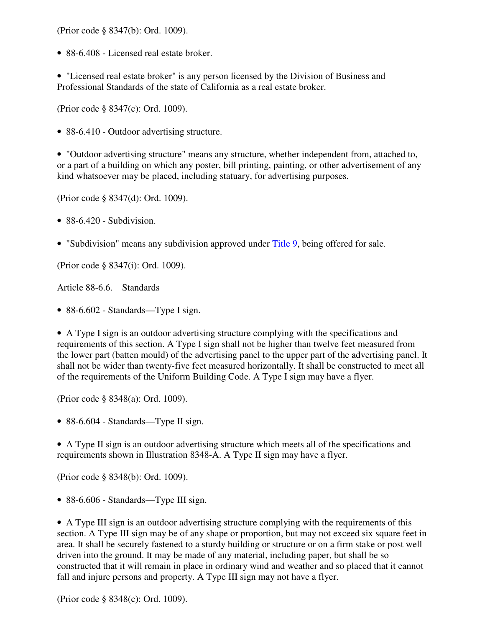(Prior code § 8347(b): Ord. 1009).

• 88-6.408 - Licensed real estate broker.

• "Licensed real estate broker" is any person licensed by the Division of Business and Professional Standards of the state of California as a real estate broker.

(Prior code § 8347(c): Ord. 1009).

• 88-6.410 - Outdoor advertising structure.

• "Outdoor advertising structure" means any structure, whether independent from, attached to, or a part of a building on which any poster, bill printing, painting, or other advertisement of any kind whatsoever may be placed, including statuary, for advertising purposes.

(Prior code § 8347(d): Ord. 1009).

 $\bullet$  88-6.420 - Subdivision.

• "Subdivision" means any subdivision approved under Title 9, being offered for sale.

(Prior code § 8347(i): Ord. 1009).

Article 88-6.6. Standards

• 88-6.602 - Standards—Type I sign.

• A Type I sign is an outdoor advertising structure complying with the specifications and requirements of this section. A Type I sign shall not be higher than twelve feet measured from the lower part (batten mould) of the advertising panel to the upper part of the advertising panel. It shall not be wider than twenty-five feet measured horizontally. It shall be constructed to meet all of the requirements of the Uniform Building Code. A Type I sign may have a flyer.

(Prior code § 8348(a): Ord. 1009).

• 88-6.604 - Standards—Type II sign.

• A Type II sign is an outdoor advertising structure which meets all of the specifications and requirements shown in Illustration 8348-A. A Type II sign may have a flyer.

(Prior code § 8348(b): Ord. 1009).

• 88-6.606 - Standards—Type III sign.

• A Type III sign is an outdoor advertising structure complying with the requirements of this section. A Type III sign may be of any shape or proportion, but may not exceed six square feet in area. It shall be securely fastened to a sturdy building or structure or on a firm stake or post well driven into the ground. It may be made of any material, including paper, but shall be so constructed that it will remain in place in ordinary wind and weather and so placed that it cannot fall and injure persons and property. A Type III sign may not have a flyer.

(Prior code § 8348(c): Ord. 1009).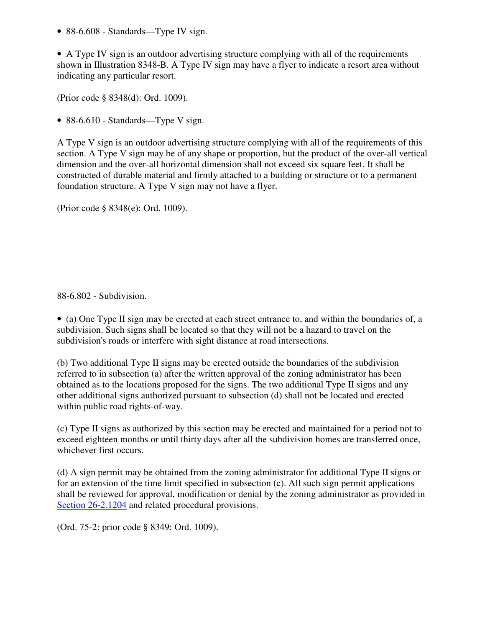• 88-6.608 - Standards—Type IV sign.

• A Type IV sign is an outdoor advertising structure complying with all of the requirements shown in Illustration 8348-B. A Type IV sign may have a flyer to indicate a resort area without indicating any particular resort.

(Prior code § 8348(d): Ord. 1009).

• 88-6.610 - Standards—Type V sign.

A Type V sign is an outdoor advertising structure complying with all of the requirements of this section. A Type V sign may be of any shape or proportion, but the product of the over-all vertical dimension and the over-all horizontal dimension shall not exceed six square feet. It shall be constructed of durable material and firmly attached to a building or structure or to a permanent foundation structure. A Type V sign may not have a flyer.

(Prior code § 8348(e): Ord. 1009).

88-6.802 - Subdivision.

• (a) One Type II sign may be erected at each street entrance to, and within the boundaries of, a subdivision. Such signs shall be located so that they will not be a hazard to travel on the subdivision's roads or interfere with sight distance at road intersections.

(b) Two additional Type II signs may be erected outside the boundaries of the subdivision referred to in subsection (a) after the written approval of the zoning administrator has been obtained as to the locations proposed for the signs. The two additional Type II signs and any other additional signs authorized pursuant to subsection (d) shall not be located and erected within public road rights-of-way.

(c) Type II signs as authorized by this section may be erected and maintained for a period not to exceed eighteen months or until thirty days after all the subdivision homes are transferred once, whichever first occurs.

(d) A sign permit may be obtained from the zoning administrator for additional Type II signs or for an extension of the time limit specified in subsection (c). All such sign permit applications shall be reviewed for approval, modification or denial by the zoning administrator as provided in Section 26-2.1204 and related procedural provisions.

(Ord. 75-2: prior code § 8349: Ord. 1009).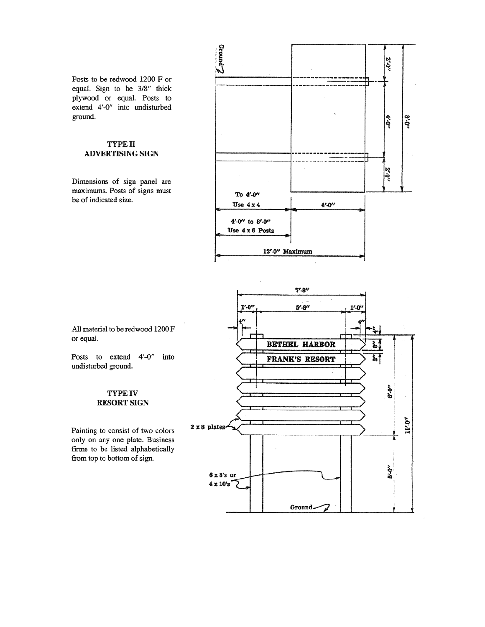Posts to be redwood 1200 F or equal. Sign to be 3/8" thick plywood or equal. Posts to extend 4'-0" into undisturbed ground.

### TYPE II **ADVERTISING SIGN**

Dimensions of sign panel are maximums. Posts of signs must be of indicated size.



 $7' - 8''$ 



All material to be redwood 1200 F or equal.

Posts to extend 4'-0" into undisturbed ground.

#### **TYPE IV RESORT SIGN**

Painting to consist of two colors only on any one plate. Business firms to be listed alphabetically from top to bottom of sign.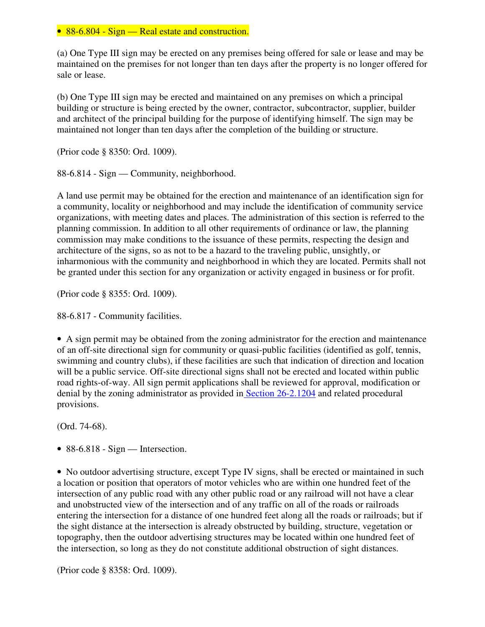### • 88-6.804 - Sign — Real estate and construction.

(a) One Type III sign may be erected on any premises being offered for sale or lease and may be maintained on the premises for not longer than ten days after the property is no longer offered for sale or lease.

(b) One Type III sign may be erected and maintained on any premises on which a principal building or structure is being erected by the owner, contractor, subcontractor, supplier, builder and architect of the principal building for the purpose of identifying himself. The sign may be maintained not longer than ten days after the completion of the building or structure.

(Prior code § 8350: Ord. 1009).

88-6.814 - Sign — Community, neighborhood.

A land use permit may be obtained for the erection and maintenance of an identification sign for a community, locality or neighborhood and may include the identification of community service organizations, with meeting dates and places. The administration of this section is referred to the planning commission. In addition to all other requirements of ordinance or law, the planning commission may make conditions to the issuance of these permits, respecting the design and architecture of the signs, so as not to be a hazard to the traveling public, unsightly, or inharmonious with the community and neighborhood in which they are located. Permits shall not be granted under this section for any organization or activity engaged in business or for profit.

(Prior code § 8355: Ord. 1009).

88-6.817 - Community facilities.

• A sign permit may be obtained from the zoning administrator for the erection and maintenance of an off-site directional sign for community or quasi-public facilities (identified as golf, tennis, swimming and country clubs), if these facilities are such that indication of direction and location will be a public service. Off-site directional signs shall not be erected and located within public road rights-of-way. All sign permit applications shall be reviewed for approval, modification or denial by the zoning administrator as provided in Section 26-2.1204 and related procedural provisions.

(Ord. 74-68).

• 88-6.818 - Sign — Intersection.

• No outdoor advertising structure, except Type IV signs, shall be erected or maintained in such a location or position that operators of motor vehicles who are within one hundred feet of the intersection of any public road with any other public road or any railroad will not have a clear and unobstructed view of the intersection and of any traffic on all of the roads or railroads entering the intersection for a distance of one hundred feet along all the roads or railroads; but if the sight distance at the intersection is already obstructed by building, structure, vegetation or topography, then the outdoor advertising structures may be located within one hundred feet of the intersection, so long as they do not constitute additional obstruction of sight distances.

(Prior code § 8358: Ord. 1009).